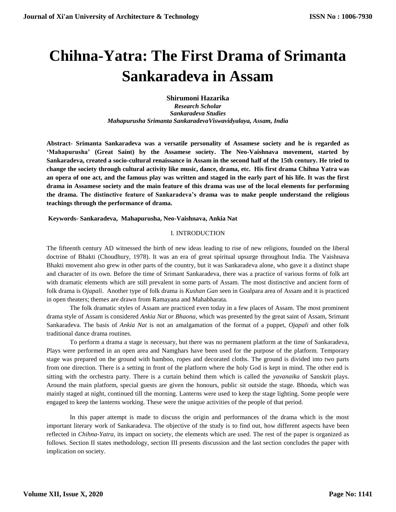# **Chihna-Yatra: The First Drama of Srimanta Sankaradeva in Assam**

**Shirumoni Hazarika** *Research Scholar Sankaradeva Studies Mahapurusha Srimanta SankaradevaViswavidyalaya, Assam, India*

**Abstract- Srimanta Sankaradeva was a versatile personality of Assamese society and he is regarded as 'Mahapurusha' (Great Saint) by the Assamese society. The Neo-Vaishnava movement, started by Sankaradeva, created a socio-cultural renaissance in Assam in the second half of the 15th century. He tried to change the society through cultural activity like music, dance, drama, etc. His first drama Chihna Yatra was an opera of one act, and the famous play was written and staged in the early part of his life. It was the first drama in Assamese society and the main feature of this drama was use of the local elements for performing the drama. The distinctive feature of Sankaradeva's drama was to make people understand the religious teachings through the performance of drama.**

**Keywords- Sankaradeva, Mahapurusha, Neo-Vaishnava, Ankia Nat**

## I. INTRODUCTION

The fifteenth century AD witnessed the birth of new ideas leading to rise of new religions, founded on the liberal doctrine of Bhakti (Choudhury, 1978). It was an era of great spiritual upsurge throughout India. The Vaishnava Bhakti movement also grew in other parts of the country, but it was Sankaradeva alone, who gave it a distinct shape and character of its own. Before the time of Srimant Sankaradeva, there was a practice of various forms of folk art with dramatic elements which are still prevalent in some parts of Assam. The most distinctive and ancient form of folk drama is *Ojapali*. Another type of folk drama is *Kushan Gan* seen in Goalpara area of Assam and it is practiced in open theaters; themes are drawn from Ramayana and Mahabharata.

The folk dramatic styles of Assam are practiced even today in a few places of Assam. The most prominent drama style of Assam is considered *Ankia Nat or Bhaona*, which was presented by the great saint of Assam, Srimant Sankaradeva. The basis of *Ankia Nat* is not an amalgamation of the format of a puppet, *Ojapali* and other folk traditional dance drama routines.

To perform a drama a stage is necessary, but there was no permanent platform at the time of Sankaradeva, Plays were performed in an open area and Namghars have been used for the purpose of the platform. Temporary stage was prepared on the ground with bamboo, ropes and decorated cloths. The ground is divided into two parts from one direction. There is a setting in front of the platform where the holy God is kept in mind. The other end is sitting with the orchestra party. There is a curtain behind them which is called the *yavanaika* of Sanskrit plays. Around the main platform, special guests are given the honours, public sit outside the stage. Bhonda, which was mainly staged at night, continued till the morning. Lanterns were used to keep the stage lighting. Some people were engaged to keep the lanterns working. These were the unique activities of the people of that period.

In this paper attempt is made to discuss the origin and performances of the drama which is the most important literary work of Sankaradeva. The objective of the study is to find out, how different aspects have been reflected in *Chihna-Yatra*, its impact on society, the elements which are used. The rest of the paper is organized as follows. Section II states methodology, section III presents discussion and the last section concludes the paper with implication on society.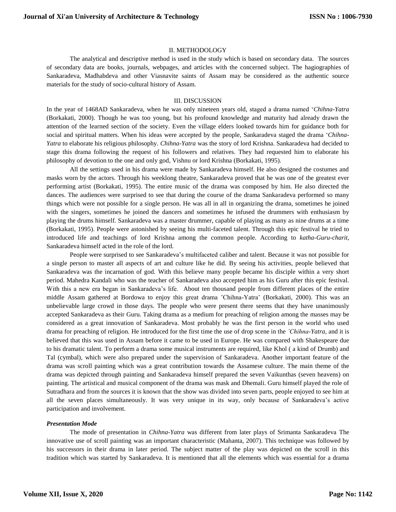## II. METHODOLOGY

The analytical and descriptive method is used in the study which is based on secondary data. The sources of secondary data are books, journals, webpages, and articles with the concerned subject. The hagiographies of Sankaradeva, Madhabdeva and other Viasnavite saints of Assam may be considered as the authentic source materials for the study of socio-cultural history of Assam.

#### III. DISCUSSION

In the year of 1468AD Sankaradeva, when he was only nineteen years old, staged a drama named '*Chihna-Yatra* (Borkakati, 2000). Though he was too young, but his profound knowledge and maturity had already drawn the attention of the learned section of the society. Even the village elders looked towards him for guidance both for social and spiritual matters. When his ideas were accepted by the people, Sankaradeva staged the drama '*Chihna-Yatra* to elaborate his religious philosophy*. Chihna*-*Yatra* was the story of lord Krishna. Sankaradeva had decided to stage this drama following the request of his followers and relatives. They had requested him to elaborate his philosophy of devotion to the one and only god, Vishnu or lord Krishna (Borkakati, 1995).

All the settings used in his drama were made by Sankaradeva himself. He also designed the costumes and masks worn by the actors. Through his weeklong theatre, Sankaradeva proved that he was one of the greatest ever performing artist (Borkakati, 1995). The entire music of the drama was composed by him. He also directed the dances. The audiences were surprised to see that during the course of the drama Sankaradeva performed so many things which were not possible for a single person. He was all in all in organizing the drama, sometimes he joined with the singers, sometimes he joined the dancers and sometimes he infused the drummers with enthusiasm by playing the drums himself. Sankaradeva was a master drummer, capable of playing as many as nine drums at a time (Borkakati, 1995). People were astonished by seeing his multi-faceted talent. Through this epic festival he tried to introduced life and teachings of lord Krishna among the common people. According to *katha-Guru-charit*, Sankaradeva himself acted in the role of the lord.

People were surprised to see Sankaradeva's multifaceted caliber and talent. Because it was not possible for a single person to master all aspects of art and culture like he did. By seeing his activities, people believed that Sankaradeva was the incarnation of god. With this believe many people became his disciple within a very short period. Mahedra Kandali who was the teacher of Sankaradeva also accepted him as his Guru after this epic festival. With this a new era began in Sankaradeva's life. About ten thousand people from different places of the entire middle Assam gathered at Bordowa to enjoy this great drama 'Chihna-Yatra' (Borkakati, 2000). This was an unbelievable large crowd in those days. The people who were present there seems that they have unanimously accepted Sankaradeva as their Guru. Taking drama as a medium for preaching of religion among the masses may be considered as a great innovation of Sankaradeva. Most probably he was the first person in the world who used drama for preaching of religion. He introduced for the first time the use of drop scene in the *'Chihna-Yatra*, and it is believed that this was used in Assam before it came to be used in Europe. He was compared with Shakespeare due to his dramatic talent. To perform a drama some musical instruments are required, like Khol ( a kind of Drumb) and Tal (cymbal), which were also prepared under the supervision of Sankaradeva. Another important feature of the drama was scroll painting which was a great contribution towards the Assamese culture. The main theme of the drama was depicted through painting and Sankaradeva himself prepared the seven Vaikunthas (seven heavens) on painting. The artistical and musical component of the drama was mask and Dhemali. Guru himself played the role of Sutradhara and from the sources it is known that the show was divided into seven parts, people enjoyed to see him at all the seven places simultaneously. It was very unique in its way, only because of Sankaradeva's active participation and involvement.

#### *Presentation Mode*

The mode of presentation in *Chihna-Yatra* was different from later plays of Srimanta Sankaradeva The innovative use of scroll painting was an important characteristic (Mahanta, 2007). This technique was followed by his successors in their drama in later period. The subject matter of the play was depicted on the scroll in this tradition which was started by Sankaradeva. It is mentioned that all the elements which was essential for a drama